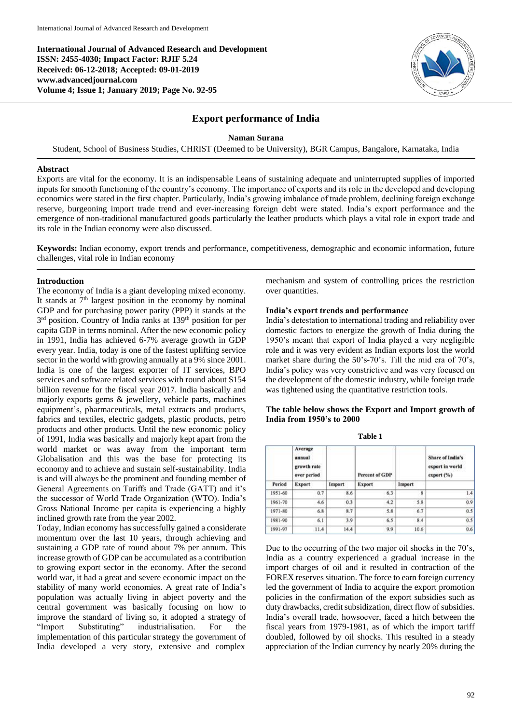**International Journal of Advanced Research and Development ISSN: 2455-4030; Impact Factor: RJIF 5.24 Received: 06-12-2018; Accepted: 09-01-2019 www.advancedjournal.com Volume 4; Issue 1; January 2019; Page No. 92-95**



# **Export performance of India**

## **Naman Surana**

Student, School of Business Studies, CHRIST (Deemed to be University), BGR Campus, Bangalore, Karnataka, India

### **Abstract**

Exports are vital for the economy. It is an indispensable Leans of sustaining adequate and uninterrupted supplies of imported inputs for smooth functioning of the country's economy. The importance of exports and its role in the developed and developing economics were stated in the first chapter. Particularly, India's growing imbalance of trade problem, declining foreign exchange reserve, burgeoning import trade trend and ever-increasing foreign debt were stated. India's export performance and the emergence of non-traditional manufactured goods particularly the leather products which plays a vital role in export trade and its role in the Indian economy were also discussed.

**Keywords:** Indian economy, export trends and performance, competitiveness, demographic and economic information, future challenges, vital role in Indian economy

### **Introduction**

The economy of India is a giant developing mixed economy. It stands at  $7<sup>th</sup>$  largest position in the economy by nominal GDP and for purchasing power parity (PPP) it stands at the 3<sup>rd</sup> position. Country of India ranks at 139<sup>th</sup> position for per capita GDP in terms nominal. After the new economic policy in 1991, India has achieved 6-7% average growth in GDP every year. India, today is one of the fastest uplifting service sector in the world with growing annually at a 9% since 2001. India is one of the largest exporter of IT services, BPO services and software related services with round about \$154 billion revenue for the fiscal year 2017. India basically and majorly exports gems & jewellery, vehicle parts, machines equipment's, pharmaceuticals, metal extracts and products, fabrics and textiles, electric gadgets, plastic products, petro products and other products. Until the new economic policy of 1991, India was basically and majorly kept apart from the world market or was away from the important term Globalisation and this was the base for protecting its economy and to achieve and sustain self-sustainability. India is and will always be the prominent and founding member of General Agreements on Tariffs and Trade (GATT) and it's the successor of World Trade Organization (WTO). India's Gross National Income per capita is experiencing a highly inclined growth rate from the year 2002.

Today, Indian economy has successfully gained a considerate momentum over the last 10 years, through achieving and sustaining a GDP rate of round about 7% per annum. This increase growth of GDP can be accumulated as a contribution to growing export sector in the economy. After the second world war, it had a great and severe economic impact on the stability of many world economies. A great rate of India's population was actually living in abject poverty and the central government was basically focusing on how to improve the standard of living so, it adopted a strategy of "Import Substituting" industrialisation. For the implementation of this particular strategy the government of India developed a very story, extensive and complex

mechanism and system of controlling prices the restriction over quantities.

#### **India's export trends and performance**

India's detestation to international trading and reliability over domestic factors to energize the growth of India during the 1950's meant that export of India played a very negligible role and it was very evident as Indian exports lost the world market share during the 50's-70's. Till the mid era of 70's, India's policy was very constrictive and was very focused on the development of the domestic industry, while foreign trade was tightened using the quantitative restriction tools.

## **The table below shows the Export and Import growth of India from 1950's to 2000**

|         | Average<br>annual<br>growth rate<br>over period |        | <b>Percent of GDP</b> |        | Share of India's<br>export in world<br>export(%) |  |
|---------|-------------------------------------------------|--------|-----------------------|--------|--------------------------------------------------|--|
| Period  | <b>Export</b>                                   | Import | <b>Export</b>         | Import |                                                  |  |
| 1951-60 | 0.7                                             | 8.6    | 6.3                   | 8      | 1.4                                              |  |
| 1961-70 | 4.6                                             | 0.3    | 4.2                   | 5.8    | 0.9                                              |  |
| 1971-80 | 6.8                                             | 8.7    | 5.8                   | 6.7    | 0.5                                              |  |
| 1981-90 | 6.1                                             | 3.9    | 6.5                   | 8.4    | 0.5                                              |  |
| 1991-97 | 11.4                                            | 14.4   | 9.9                   | 10.6   | 0.6                                              |  |

**Table 1**

Due to the occurring of the two major oil shocks in the 70's, India as a country experienced a gradual increase in the import charges of oil and it resulted in contraction of the FOREX reserves situation. The force to earn foreign currency led the government of India to acquire the export promotion policies in the confirmation of the export subsidies such as duty drawbacks, credit subsidization, direct flow of subsidies. India's overall trade, howsoever, faced a hitch between the fiscal years from 1979-1981, as of which the import tariff doubled, followed by oil shocks. This resulted in a steady appreciation of the Indian currency by nearly 20% during the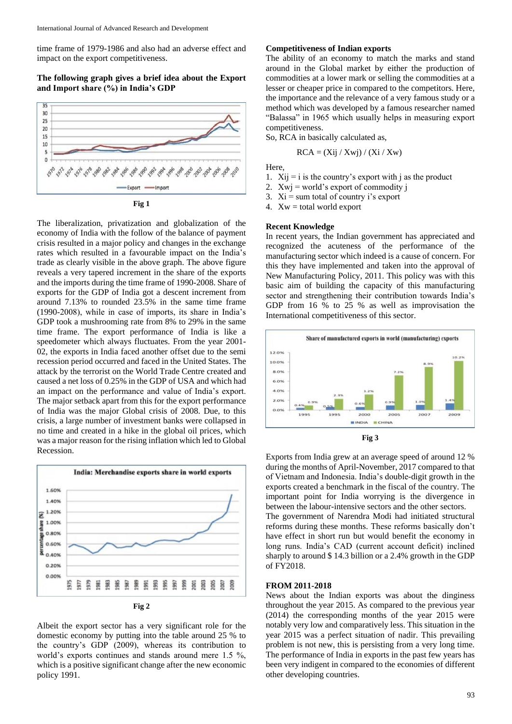time frame of 1979-1986 and also had an adverse effect and impact on the export competitiveness.

### **The following graph gives a brief idea about the Export and Import share (%) in India's GDP**





The liberalization, privatization and globalization of the economy of India with the follow of the balance of payment crisis resulted in a major policy and changes in the exchange rates which resulted in a favourable impact on the India's trade as clearly visible in the above graph. The above figure reveals a very tapered increment in the share of the exports and the imports during the time frame of 1990-2008. Share of exports for the GDP of India got a descent increment from around 7.13% to rounded 23.5% in the same time frame (1990-2008), while in case of imports, its share in India's GDP took a mushrooming rate from 8% to 29% in the same time frame. The export performance of India is like a speedometer which always fluctuates. From the year 2001- 02, the exports in India faced another offset due to the semi recession period occurred and faced in the United States. The attack by the terrorist on the World Trade Centre created and caused a net loss of 0.25% in the GDP of USA and which had an impact on the performance and value of India's export. The major setback apart from this for the export performance of India was the major Global crisis of 2008. Due, to this crisis, a large number of investment banks were collapsed in no time and created in a hike in the global oil prices, which was a major reason for the rising inflation which led to Global Recession.





Albeit the export sector has a very significant role for the domestic economy by putting into the table around 25 % to the country's GDP (2009), whereas its contribution to world's exports continues and stands around mere 1.5 %, which is a positive significant change after the new economic policy 1991.

#### **Competitiveness of Indian exports**

The ability of an economy to match the marks and stand around in the Global market by either the production of commodities at a lower mark or selling the commodities at a lesser or cheaper price in compared to the competitors. Here, the importance and the relevance of a very famous study or a method which was developed by a famous researcher named "Balassa" in 1965 which usually helps in measuring export competitiveness.

So, RCA in basically calculated as,

$$
RCA = (Xij / Xwj) / (Xi / Xw)
$$

Here,

- 1.  $Xij = i$  is the country's export with j as the product
- 2. Xwj = world's export of commodity j
- 3.  $Xi = sum total of country i's export$

4.  $Xw = total world export$ 

#### **Recent Knowledge**

In recent years, the Indian government has appreciated and recognized the acuteness of the performance of the manufacturing sector which indeed is a cause of concern. For this they have implemented and taken into the approval of New Manufacturing Policy, 2011. This policy was with this basic aim of building the capacity of this manufacturing sector and strengthening their contribution towards India's GDP from 16 % to 25 % as well as improvisation the International competitiveness of this sector.





Exports from India grew at an average speed of around 12 % during the months of April-November, 2017 compared to that of Vietnam and Indonesia. India's double-digit growth in the exports created a benchmark in the fiscal of the country. The important point for India worrying is the divergence in between the labour-intensive sectors and the other sectors. The government of Narendra Modi had initiated structural reforms during these months. These reforms basically don't have effect in short run but would benefit the economy in long runs. India's CAD (current account deficit) inclined sharply to around \$ 14.3 billion or a 2.4% growth in the GDP of FY2018.

#### **FROM 2011-2018**

News about the Indian exports was about the dinginess throughout the year 2015. As compared to the previous year (2014) the corresponding months of the year 2015 were notably very low and comparatively less. This situation in the year 2015 was a perfect situation of nadir. This prevailing problem is not new, this is persisting from a very long time. The performance of India in exports in the past few years has been very indigent in compared to the economies of different other developing countries.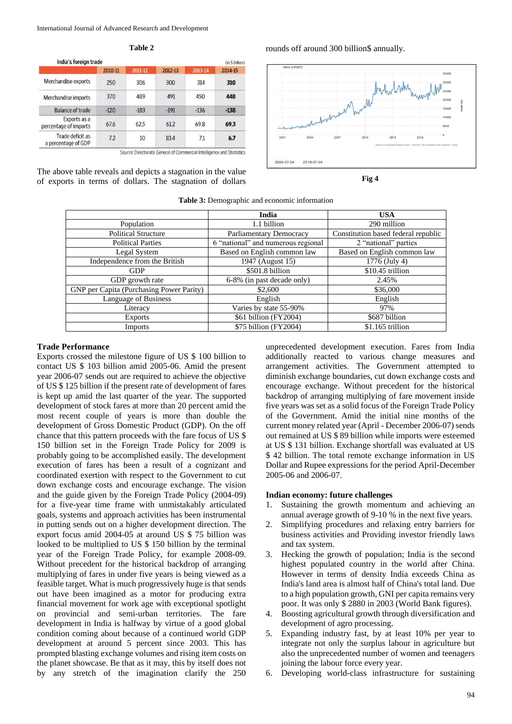**Table 2**

| India's foreign trade                   |         | (in \$ billion) |         |         |         |
|-----------------------------------------|---------|-----------------|---------|---------|---------|
|                                         | 2010-11 | 2011-12         | 2012-13 | 2013-14 | 2014-15 |
| Merchandise exports                     | 250     | 306             | 300     | 314     | 310     |
| Merchandise imports                     | 370     | 489             | 491     | 450     | 448     |
| Balance of trade                        | $-120$  | $-183$          | $-191$  | $-136$  | $-138$  |
| Exports as a<br>percentage of imports   | 67.6    | 62.5            | 61.2    | 69.8    | 69.3    |
| Trade deficit as<br>a percentage of GDP | 7.2     | 10              | 10.4    | 7.1     | 6.7     |

Source: Directorate General of Commercial Intelligence and Statistics

The above table reveals and depicts a stagnation in the value of exports in terms of dollars. The stagnation of dollars







|                                          | India                              | <b>USA</b>                          |  |
|------------------------------------------|------------------------------------|-------------------------------------|--|
| Population                               | 1.1 billion                        | 290 million                         |  |
| <b>Political Structure</b>               | Parliamentary Democracy            | Constitution based federal republic |  |
| <b>Political Parties</b>                 | 6 "national" and numerous regional | 2 "national" parties                |  |
| Legal System                             | Based on English common law        | Based on English common law         |  |
| Independence from the British            | 1947 (August 15)                   | 1776 (July 4)                       |  |
| <b>GDP</b>                               | \$501.8 billion                    | \$10.45 trillion                    |  |
| GDP growth rate                          | 6-8% (in past decade only)         | 2.45%                               |  |
| GNP per Capita (Purchasing Power Parity) | \$2,600                            | \$36,000                            |  |
| Language of Business                     | English                            | English                             |  |
| Literacy                                 | Varies by state 55-90%             | 97%                                 |  |
| <b>Exports</b>                           | \$61 billion (FY2004)              | \$687 billion                       |  |
| Imports                                  | \$75 billion (FY2004)              | $$1.165$ trillion                   |  |

#### **Table 3:** Demographic and economic information

#### **Trade Performance**

Exports crossed the milestone figure of US \$ 100 billion to contact US \$ 103 billion amid 2005-06. Amid the present year 2006-07 sends out are required to achieve the objective of US \$ 125 billion if the present rate of development of fares is kept up amid the last quarter of the year. The supported development of stock fares at more than 20 percent amid the most recent couple of years is more than double the development of Gross Domestic Product (GDP). On the off chance that this pattern proceeds with the fare focus of US \$ 150 billion set in the Foreign Trade Policy for 2009 is probably going to be accomplished easily. The development execution of fares has been a result of a cognizant and coordinated exertion with respect to the Government to cut down exchange costs and encourage exchange. The vision and the guide given by the Foreign Trade Policy (2004-09) for a five-year time frame with unmistakably articulated goals, systems and approach activities has been instrumental in putting sends out on a higher development direction. The export focus amid 2004-05 at around US \$ 75 billion was looked to be multiplied to US \$ 150 billion by the terminal year of the Foreign Trade Policy, for example 2008-09. Without precedent for the historical backdrop of arranging multiplying of fares in under five years is being viewed as a feasible target. What is much progressively huge is that sends out have been imagined as a motor for producing extra financial movement for work age with exceptional spotlight on provincial and semi-urban territories. The fare development in India is halfway by virtue of a good global condition coming about because of a continued world GDP development at around 5 percent since 2003. This has prompted blasting exchange volumes and rising item costs on the planet showcase. Be that as it may, this by itself does not by any stretch of the imagination clarify the 250

unprecedented development execution. Fares from India additionally reacted to various change measures and arrangement activities. The Government attempted to diminish exchange boundaries, cut down exchange costs and encourage exchange. Without precedent for the historical backdrop of arranging multiplying of fare movement inside five years was set as a solid focus of the Foreign Trade Policy of the Government. Amid the initial nine months of the current money related year (April - December 2006-07) sends out remained at US \$ 89 billion while imports were esteemed at US \$ 131 billion. Exchange shortfall was evaluated at US \$ 42 billion. The total remote exchange information in US Dollar and Rupee expressions for the period April-December 2005-06 and 2006-07.

## **Indian economy: future challenges**

- 1. Sustaining the growth momentum and achieving an annual average growth of 9-10 % in the next five years.
- 2. Simplifying procedures and relaxing entry barriers for business activities and Providing investor friendly laws and tax system.
- 3. Hecking the growth of population; India is the second highest populated country in the world after China. However in terms of density India exceeds China as India's land area is almost half of China's total land. Due to a high population growth, GNI per capita remains very poor. It was only \$ 2880 in 2003 (World Bank figures).
- 4. Boosting agricultural growth through diversification and development of agro processing.
- 5. Expanding industry fast, by at least 10% per year to integrate not only the surplus labour in agriculture but also the unprecedented number of women and teenagers joining the labour force every year.
- 6. Developing world-class infrastructure for sustaining